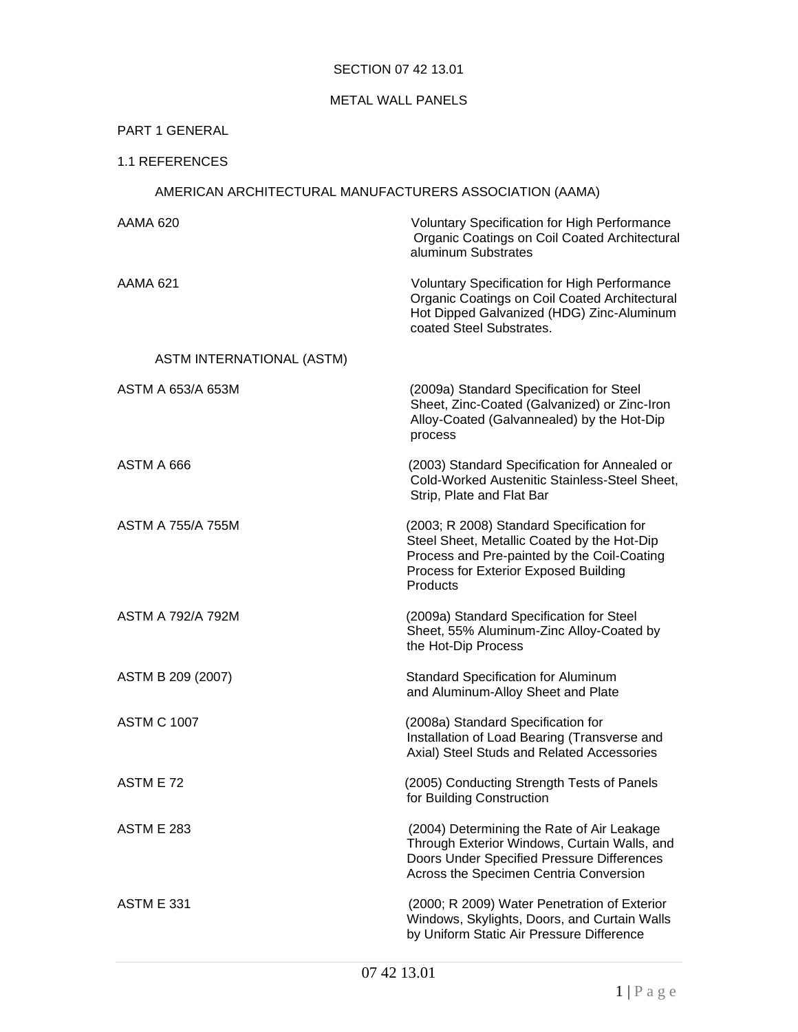# SECTION 07 42 13.01

# METAL WALL PANELS

# PART 1 GENERAL

# 1.1 REFERENCES

# AMERICAN ARCHITECTURAL MANUFACTURERS ASSOCIATION (AAMA)

| <b>AAMA 620</b>                  | <b>Voluntary Specification for High Performance</b><br>Organic Coatings on Coil Coated Architectural<br>aluminum Substrates                                                                  |
|----------------------------------|----------------------------------------------------------------------------------------------------------------------------------------------------------------------------------------------|
| AAMA 621                         | <b>Voluntary Specification for High Performance</b><br>Organic Coatings on Coil Coated Architectural<br>Hot Dipped Galvanized (HDG) Zinc-Aluminum<br>coated Steel Substrates.                |
| <b>ASTM INTERNATIONAL (ASTM)</b> |                                                                                                                                                                                              |
| ASTM A 653/A 653M                | (2009a) Standard Specification for Steel<br>Sheet, Zinc-Coated (Galvanized) or Zinc-Iron<br>Alloy-Coated (Galvannealed) by the Hot-Dip<br>process                                            |
| ASTM A 666                       | (2003) Standard Specification for Annealed or<br><b>Cold-Worked Austenitic Stainless-Steel Sheet,</b><br>Strip, Plate and Flat Bar                                                           |
| ASTM A 755/A 755M                | (2003; R 2008) Standard Specification for<br>Steel Sheet, Metallic Coated by the Hot-Dip<br>Process and Pre-painted by the Coil-Coating<br>Process for Exterior Exposed Building<br>Products |
| ASTM A 792/A 792M                | (2009a) Standard Specification for Steel<br>Sheet, 55% Aluminum-Zinc Alloy-Coated by<br>the Hot-Dip Process                                                                                  |
| ASTM B 209 (2007)                | <b>Standard Specification for Aluminum</b><br>and Aluminum-Alloy Sheet and Plate                                                                                                             |
| <b>ASTM C 1007</b>               | (2008a) Standard Specification for<br>Installation of Load Bearing (Transverse and<br>Axial) Steel Studs and Related Accessories                                                             |
| ASTM E 72                        | (2005) Conducting Strength Tests of Panels<br>for Building Construction                                                                                                                      |
| <b>ASTM E 283</b>                | (2004) Determining the Rate of Air Leakage<br>Through Exterior Windows, Curtain Walls, and<br>Doors Under Specified Pressure Differences<br>Across the Specimen Centria Conversion           |
| <b>ASTM E 331</b>                | (2000; R 2009) Water Penetration of Exterior<br>Windows, Skylights, Doors, and Curtain Walls<br>by Uniform Static Air Pressure Difference                                                    |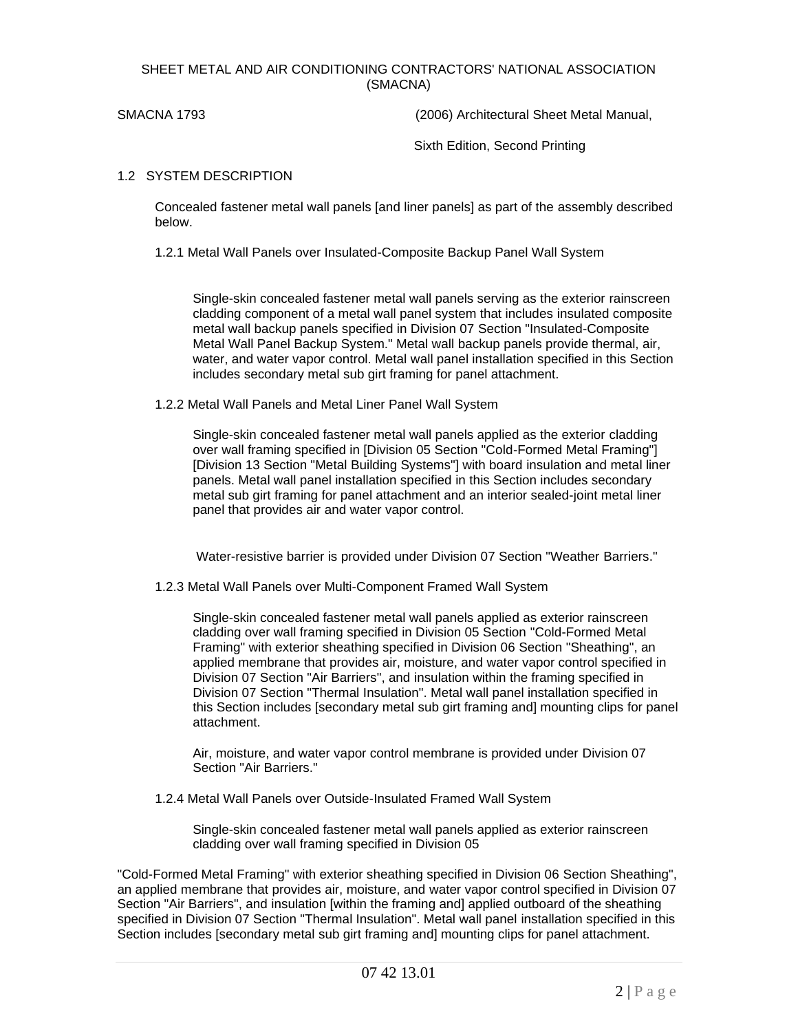### SHEET METAL AND AIR CONDITIONING CONTRACTORS' NATIONAL ASSOCIATION (SMACNA)

SMACNA 1793 (2006) Architectural Sheet Metal Manual,

Sixth Edition, Second Printing

#### 1.2 SYSTEM DESCRIPTION

Concealed fastener metal wall panels [and liner panels] as part of the assembly described below.

1.2.1 Metal Wall Panels over Insulated-Composite Backup Panel Wall System

Single-skin concealed fastener metal wall panels serving as the exterior rainscreen cladding component of a metal wall panel system that includes insulated composite metal wall backup panels specified in Division 07 Section "Insulated-Composite Metal Wall Panel Backup System." Metal wall backup panels provide thermal, air, water, and water vapor control. Metal wall panel installation specified in this Section includes secondary metal sub girt framing for panel attachment.

1.2.2 Metal Wall Panels and Metal Liner Panel Wall System

Single-skin concealed fastener metal wall panels applied as the exterior cladding over wall framing specified in [Division 05 Section "Cold-Formed Metal Framing"] [Division 13 Section "Metal Building Systems"] with board insulation and metal liner panels. Metal wall panel installation specified in this Section includes secondary metal sub girt framing for panel attachment and an interior sealed-joint metal liner panel that provides air and water vapor control.

Water-resistive barrier is provided under Division 07 Section "Weather Barriers."

1.2.3 Metal Wall Panels over Multi-Component Framed Wall System

Single-skin concealed fastener metal wall panels applied as exterior rainscreen cladding over wall framing specified in Division 05 Section "Cold-Formed Metal Framing" with exterior sheathing specified in Division 06 Section "Sheathing", an applied membrane that provides air, moisture, and water vapor control specified in Division 07 Section "Air Barriers", and insulation within the framing specified in Division 07 Section "Thermal Insulation". Metal wall panel installation specified in this Section includes [secondary metal sub girt framing and] mounting clips for panel attachment.

Air, moisture, and water vapor control membrane is provided under Division 07 Section "Air Barriers."

1.2.4 Metal Wall Panels over Outside-Insulated Framed Wall System

Single-skin concealed fastener metal wall panels applied as exterior rainscreen cladding over wall framing specified in Division 05

"Cold-Formed Metal Framing" with exterior sheathing specified in Division 06 Section Sheathing", an applied membrane that provides air, moisture, and water vapor control specified in Division 07 Section "Air Barriers", and insulation [within the framing and] applied outboard of the sheathing specified in Division 07 Section "Thermal Insulation". Metal wall panel installation specified in this Section includes [secondary metal sub girt framing and] mounting clips for panel attachment.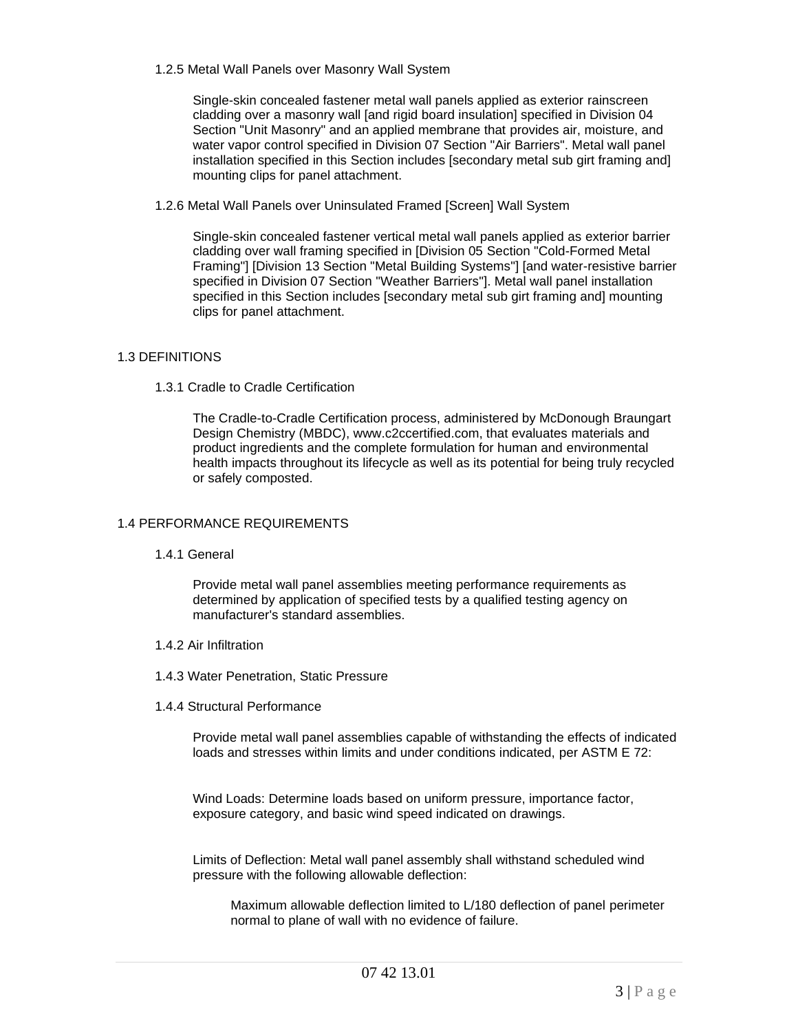1.2.5 Metal Wall Panels over Masonry Wall System

Single-skin concealed fastener metal wall panels applied as exterior rainscreen cladding over a masonry wall [and rigid board insulation] specified in Division 04 Section "Unit Masonry" and an applied membrane that provides air, moisture, and water vapor control specified in Division 07 Section "Air Barriers". Metal wall panel installation specified in this Section includes [secondary metal sub girt framing and] mounting clips for panel attachment.

1.2.6 Metal Wall Panels over Uninsulated Framed [Screen] Wall System

Single-skin concealed fastener vertical metal wall panels applied as exterior barrier cladding over wall framing specified in [Division 05 Section "Cold-Formed Metal Framing"] [Division 13 Section "Metal Building Systems"] [and water-resistive barrier specified in Division 07 Section "Weather Barriers"]. Metal wall panel installation specified in this Section includes [secondary metal sub girt framing and] mounting clips for panel attachment.

# 1.3 DEFINITIONS

1.3.1 Cradle to Cradle Certification

The Cradle-to-Cradle Certification process, administered by McDonough Braungart Design Chemistry (MBDC), www.c2ccertified.com, that evaluates materials and product ingredients and the complete formulation for human and environmental health impacts throughout its lifecycle as well as its potential for being truly recycled or safely composted.

# 1.4 PERFORMANCE REQUIREMENTS

1.4.1 General

Provide metal wall panel assemblies meeting performance requirements as determined by application of specified tests by a qualified testing agency on manufacturer's standard assemblies.

- 1.4.2 Air Infiltration
- 1.4.3 Water Penetration, Static Pressure
- 1.4.4 Structural Performance

Provide metal wall panel assemblies capable of withstanding the effects of indicated loads and stresses within limits and under conditions indicated, per ASTM E 72:

Wind Loads: Determine loads based on uniform pressure, importance factor, exposure category, and basic wind speed indicated on drawings.

Limits of Deflection: Metal wall panel assembly shall withstand scheduled wind pressure with the following allowable deflection:

Maximum allowable deflection limited to L/180 deflection of panel perimeter normal to plane of wall with no evidence of failure.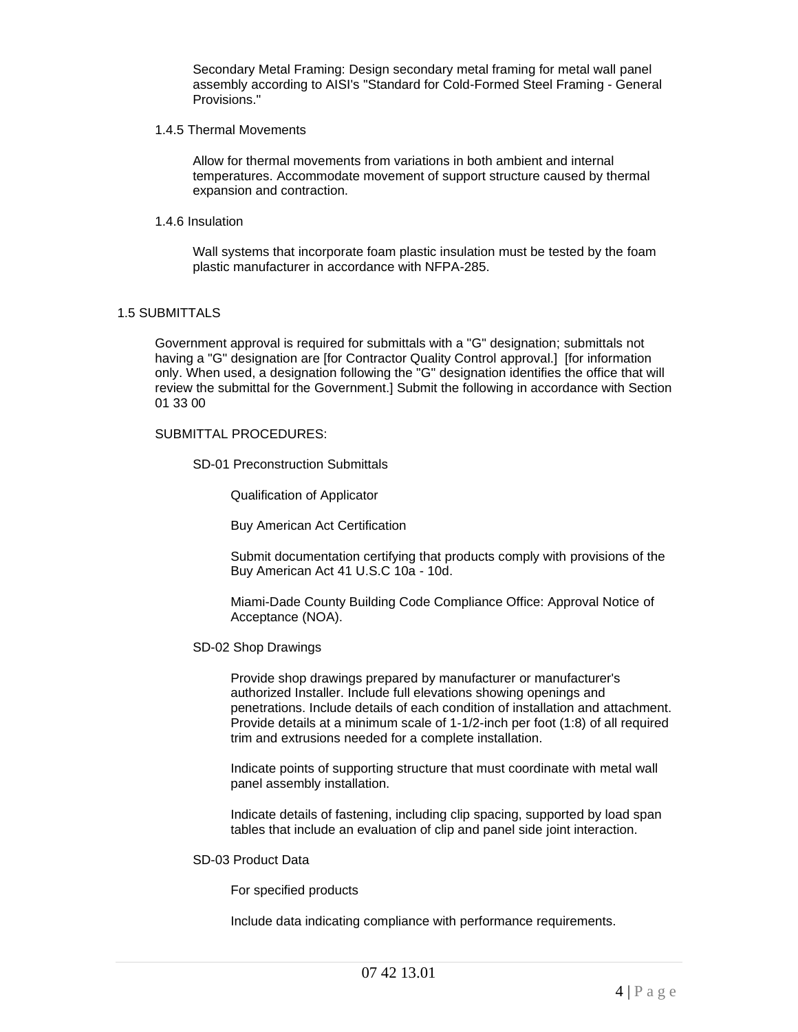Secondary Metal Framing: Design secondary metal framing for metal wall panel assembly according to AISI's "Standard for Cold-Formed Steel Framing - General Provisions."

1.4.5 Thermal Movements

Allow for thermal movements from variations in both ambient and internal temperatures. Accommodate movement of support structure caused by thermal expansion and contraction.

1.4.6 Insulation

Wall systems that incorporate foam plastic insulation must be tested by the foam plastic manufacturer in accordance with NFPA-285.

#### 1.5 SUBMITTALS

Government approval is required for submittals with a "G" designation; submittals not having a "G" designation are [for Contractor Quality Control approval.] [for information only. When used, a designation following the "G" designation identifies the office that will review the submittal for the Government.] Submit the following in accordance with Section 01 33 00

#### SUBMITTAL PROCEDURES:

SD-01 Preconstruction Submittals

Qualification of Applicator

Buy American Act Certification

Submit documentation certifying that products comply with provisions of the Buy American Act 41 U.S.C 10a - 10d.

Miami-Dade County Building Code Compliance Office: Approval Notice of Acceptance (NOA).

SD-02 Shop Drawings

Provide shop drawings prepared by manufacturer or manufacturer's authorized Installer. Include full elevations showing openings and penetrations. Include details of each condition of installation and attachment. Provide details at a minimum scale of 1-1/2-inch per foot (1:8) of all required trim and extrusions needed for a complete installation.

Indicate points of supporting structure that must coordinate with metal wall panel assembly installation.

Indicate details of fastening, including clip spacing, supported by load span tables that include an evaluation of clip and panel side joint interaction.

# SD-03 Product Data

For specified products

Include data indicating compliance with performance requirements.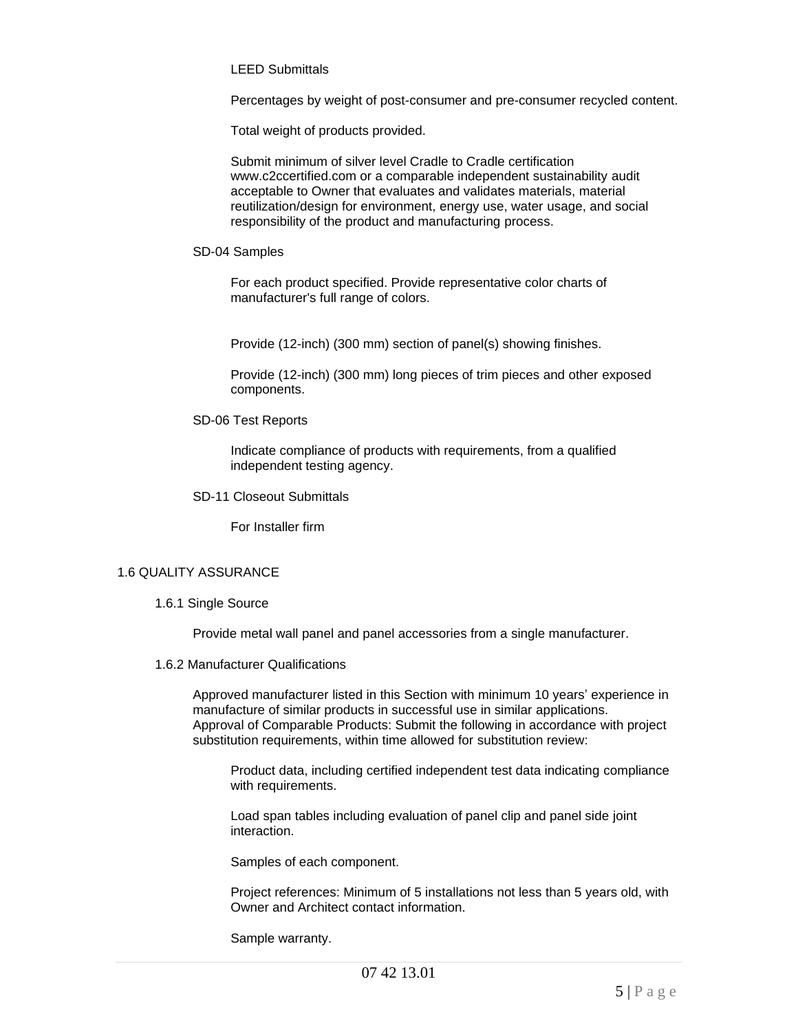LEED Submittals

Percentages by weight of post-consumer and pre-consumer recycled content.

Total weight of products provided.

Submit minimum of silver level Cradle to Cradle certification www.c2ccertified.com or a comparable independent sustainability audit acceptable to Owner that evaluates and validates materials, material reutilization/design for environment, energy use, water usage, and social responsibility of the product and manufacturing process.

SD-04 Samples

For each product specified. Provide representative color charts of manufacturer's full range of colors.

Provide (12-inch) (300 mm) section of panel(s) showing finishes.

Provide (12-inch) (300 mm) long pieces of trim pieces and other exposed components.

SD-06 Test Reports

Indicate compliance of products with requirements, from a qualified independent testing agency.

SD-11 Closeout Submittals

For Installer firm

#### 1.6 QUALITY ASSURANCE

1.6.1 Single Source

Provide metal wall panel and panel accessories from a single manufacturer.

1.6.2 Manufacturer Qualifications

Approved manufacturer listed in this Section with minimum 10 years' experience in manufacture of similar products in successful use in similar applications. Approval of Comparable Products: Submit the following in accordance with project substitution requirements, within time allowed for substitution review:

Product data, including certified independent test data indicating compliance with requirements.

Load span tables including evaluation of panel clip and panel side joint interaction.

Samples of each component.

Project references: Minimum of 5 installations not less than 5 years old, with Owner and Architect contact information.

Sample warranty.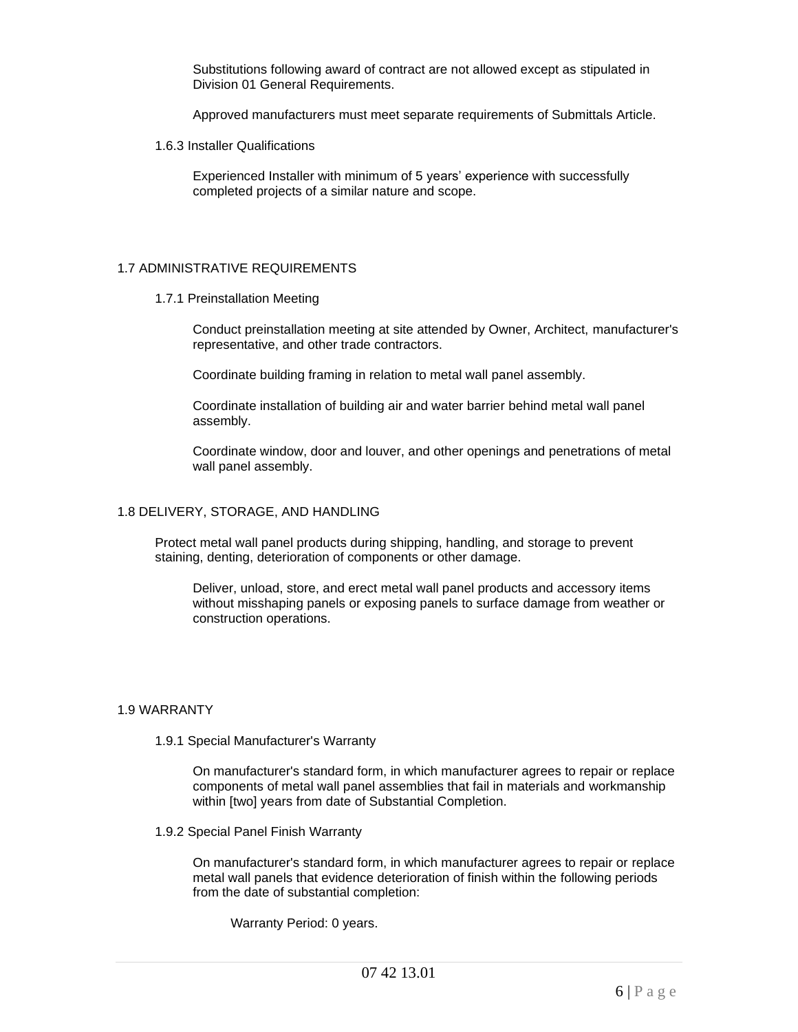Substitutions following award of contract are not allowed except as stipulated in Division 01 General Requirements.

Approved manufacturers must meet separate requirements of Submittals Article.

1.6.3 Installer Qualifications

Experienced Installer with minimum of 5 years' experience with successfully completed projects of a similar nature and scope.

#### 1.7 ADMINISTRATIVE REQUIREMENTS

1.7.1 Preinstallation Meeting

Conduct preinstallation meeting at site attended by Owner, Architect, manufacturer's representative, and other trade contractors.

Coordinate building framing in relation to metal wall panel assembly.

Coordinate installation of building air and water barrier behind metal wall panel assembly.

Coordinate window, door and louver, and other openings and penetrations of metal wall panel assembly.

#### 1.8 DELIVERY, STORAGE, AND HANDLING

Protect metal wall panel products during shipping, handling, and storage to prevent staining, denting, deterioration of components or other damage.

Deliver, unload, store, and erect metal wall panel products and accessory items without misshaping panels or exposing panels to surface damage from weather or construction operations.

### 1.9 WARRANTY

1.9.1 Special Manufacturer's Warranty

On manufacturer's standard form, in which manufacturer agrees to repair or replace components of metal wall panel assemblies that fail in materials and workmanship within [two] years from date of Substantial Completion.

1.9.2 Special Panel Finish Warranty

On manufacturer's standard form, in which manufacturer agrees to repair or replace metal wall panels that evidence deterioration of finish within the following periods from the date of substantial completion:

Warranty Period: 0 years.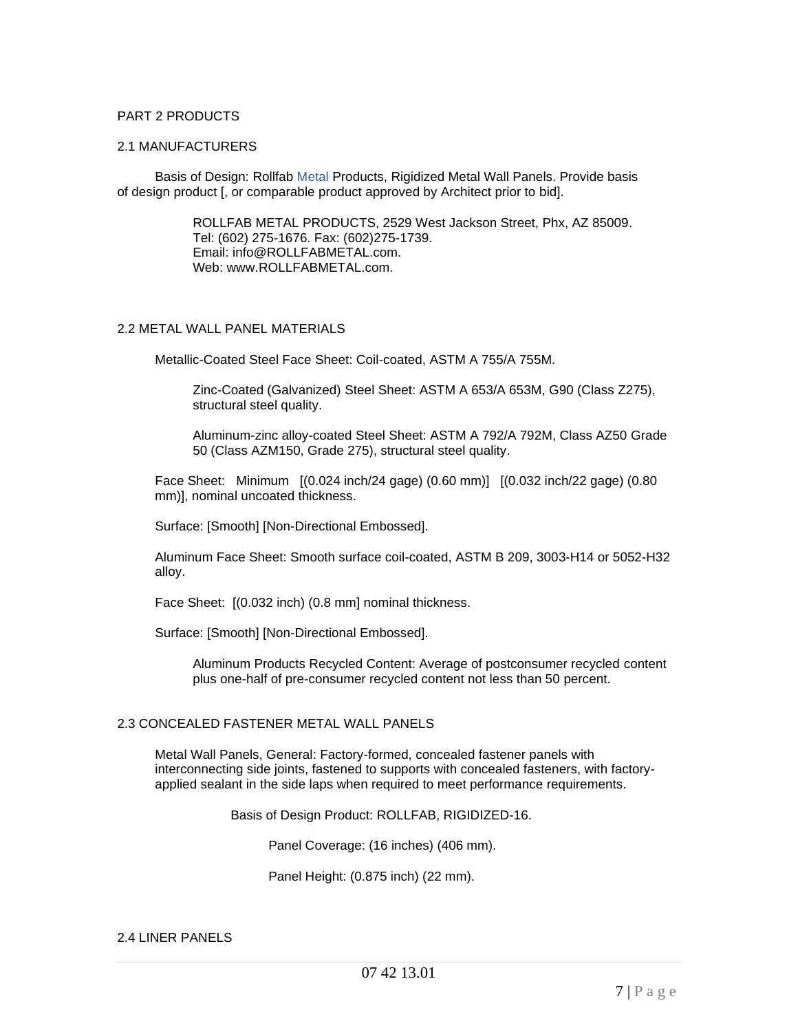# PART 2 PRODUCTS

#### 2.1 MANUFACTURERS

Basis of Design: Rollfab Metal Products, Rigidized Metal Wall Panels. Provide basis of design product [, or comparable product approved by Architect prior to bid].

> ROLLFAB METAL PRODUCTS, 2529 West Jackson Street, Phx, AZ 85009. Tel: (602) 275-1676. Fax: (602)275-1739. Email: info@ROLLFABMETAL.com. Web: www.ROLLFABMETAL.com.

#### 2.2 METAL WALL PANEL MATERIALS

Metallic-Coated Steel Face Sheet: Coil-coated, ASTM A 755/A 755M.

Zinc-Coated (Galvanized) Steel Sheet: ASTM A 653/A 653M, G90 (Class Z275), structural steel quality.

Aluminum-zinc alloy-coated Steel Sheet: ASTM A 792/A 792M, Class AZ50 Grade 50 (Class AZM150, Grade 275), structural steel quality.

Face Sheet: Minimum [(0.024 inch/24 gage) (0.60 mm)] [(0.032 inch/22 gage) (0.80 mm)], nominal uncoated thickness.

Surface: [Smooth] [Non-Directional Embossed].

Aluminum Face Sheet: Smooth surface coil-coated, ASTM B 209, 3003-H14 or 5052-H32 alloy.

Face Sheet: [(0.032 inch) (0.8 mm] nominal thickness.

Surface: [Smooth] [Non-Directional Embossed].

Aluminum Products Recycled Content: Average of postconsumer recycled content plus one-half of pre-consumer recycled content not less than 50 percent.

#### 2.3 CONCEALED FASTENER METAL WALL PANELS

Metal Wall Panels, General: Factory-formed, concealed fastener panels with interconnecting side joints, fastened to supports with concealed fasteners, with factoryapplied sealant in the side laps when required to meet performance requirements.

Basis of Design Product: ROLLFAB, RIGIDIZED-16.

Panel Coverage: (16 inches) (406 mm).

Panel Height: (0.875 inch) (22 mm).

#### 2.4 LINER PANELS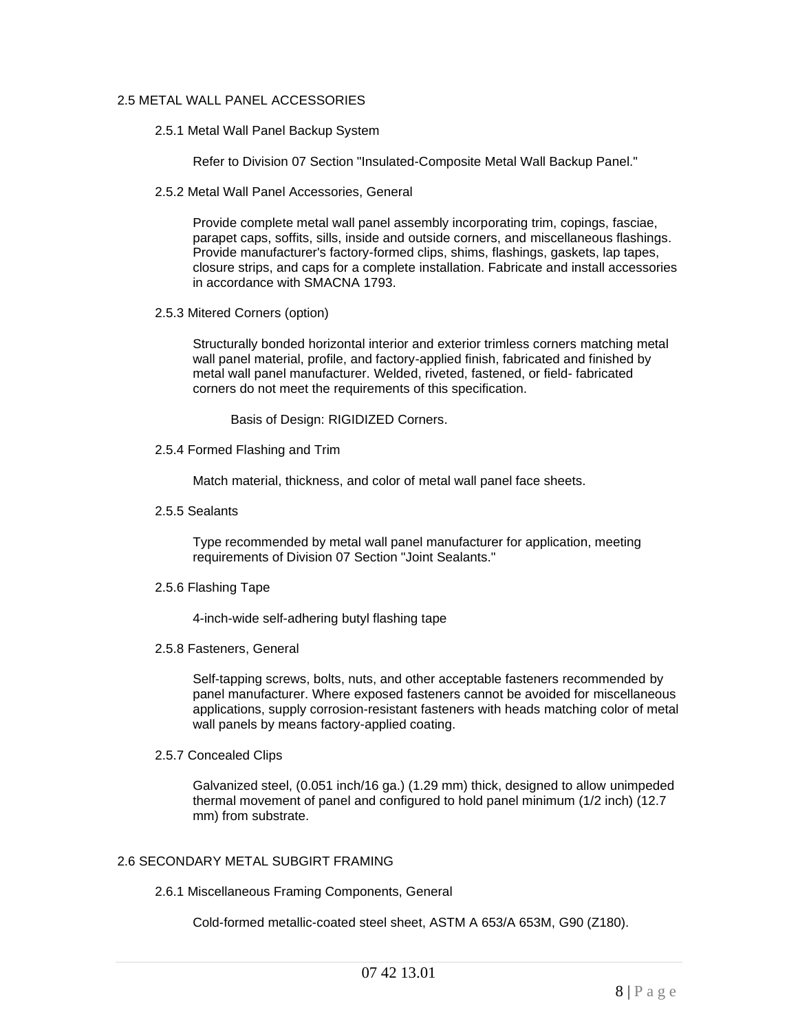# 2.5 METAL WALL PANEL ACCESSORIES

2.5.1 Metal Wall Panel Backup System

Refer to Division 07 Section "Insulated-Composite Metal Wall Backup Panel."

2.5.2 Metal Wall Panel Accessories, General

Provide complete metal wall panel assembly incorporating trim, copings, fasciae, parapet caps, soffits, sills, inside and outside corners, and miscellaneous flashings. Provide manufacturer's factory-formed clips, shims, flashings, gaskets, lap tapes, closure strips, and caps for a complete installation. Fabricate and install accessories in accordance with SMACNA 1793.

2.5.3 Mitered Corners (option)

Structurally bonded horizontal interior and exterior trimless corners matching metal wall panel material, profile, and factory-applied finish, fabricated and finished by metal wall panel manufacturer. Welded, riveted, fastened, or field- fabricated corners do not meet the requirements of this specification.

Basis of Design: RIGIDIZED Corners.

2.5.4 Formed Flashing and Trim

Match material, thickness, and color of metal wall panel face sheets.

2.5.5 Sealants

Type recommended by metal wall panel manufacturer for application, meeting requirements of Division 07 Section "Joint Sealants."

2.5.6 Flashing Tape

4-inch-wide self-adhering butyl flashing tape

2.5.8 Fasteners, General

Self-tapping screws, bolts, nuts, and other acceptable fasteners recommended by panel manufacturer. Where exposed fasteners cannot be avoided for miscellaneous applications, supply corrosion-resistant fasteners with heads matching color of metal wall panels by means factory-applied coating.

2.5.7 Concealed Clips

Galvanized steel, (0.051 inch/16 ga.) (1.29 mm) thick, designed to allow unimpeded thermal movement of panel and configured to hold panel minimum (1/2 inch) (12.7 mm) from substrate.

# 2.6 SECONDARY METAL SUBGIRT FRAMING

2.6.1 Miscellaneous Framing Components, General

Cold-formed metallic-coated steel sheet, ASTM A 653/A 653M, G90 (Z180).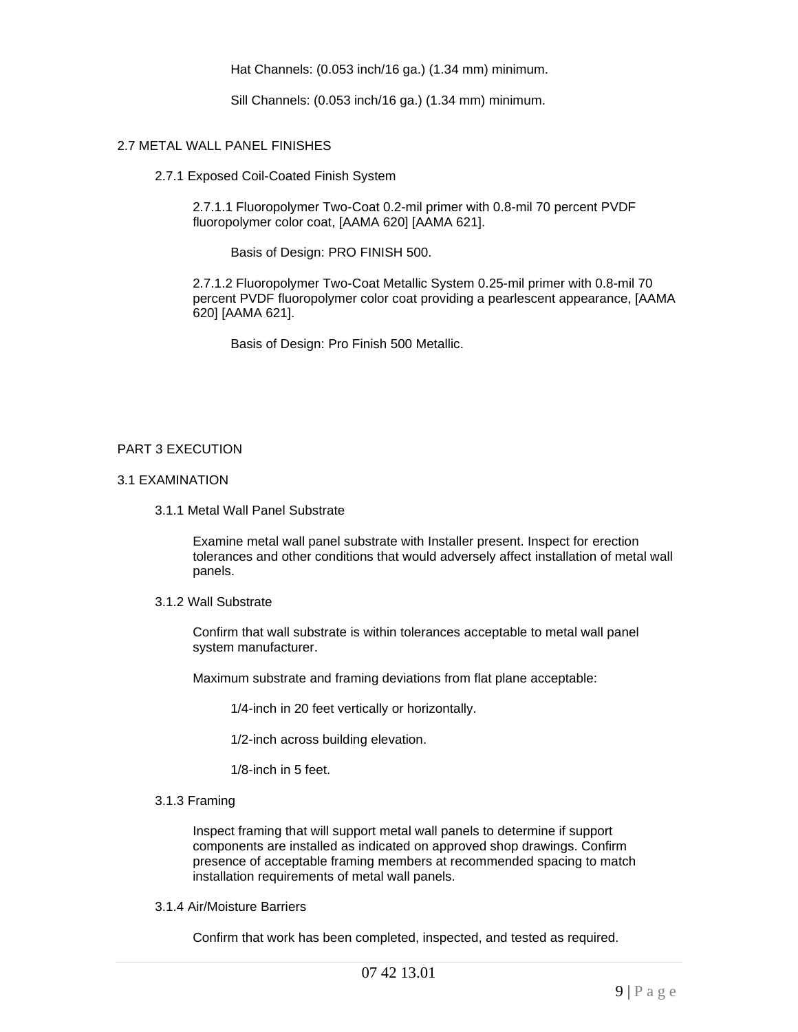Hat Channels: (0.053 inch/16 ga.) (1.34 mm) minimum.

Sill Channels: (0.053 inch/16 ga.) (1.34 mm) minimum.

#### 2.7 METAL WALL PANEL FINISHES

2.7.1 Exposed Coil-Coated Finish System

2.7.1.1 Fluoropolymer Two-Coat 0.2-mil primer with 0.8-mil 70 percent PVDF fluoropolymer color coat, [AAMA 620] [AAMA 621].

Basis of Design: PRO FINISH 500.

2.7.1.2 Fluoropolymer Two-Coat Metallic System 0.25-mil primer with 0.8-mil 70 percent PVDF fluoropolymer color coat providing a pearlescent appearance, [AAMA 620] [AAMA 621].

Basis of Design: Pro Finish 500 Metallic.

# PART 3 EXECUTION

# 3.1 EXAMINATION

3.1.1 Metal Wall Panel Substrate

Examine metal wall panel substrate with Installer present. Inspect for erection tolerances and other conditions that would adversely affect installation of metal wall panels.

# 3.1.2 Wall Substrate

Confirm that wall substrate is within tolerances acceptable to metal wall panel system manufacturer.

Maximum substrate and framing deviations from flat plane acceptable:

1/4-inch in 20 feet vertically or horizontally.

1/2-inch across building elevation.

1/8-inch in 5 feet.

#### 3.1.3 Framing

Inspect framing that will support metal wall panels to determine if support components are installed as indicated on approved shop drawings. Confirm presence of acceptable framing members at recommended spacing to match installation requirements of metal wall panels.

3.1.4 Air/Moisture Barriers

Confirm that work has been completed, inspected, and tested as required.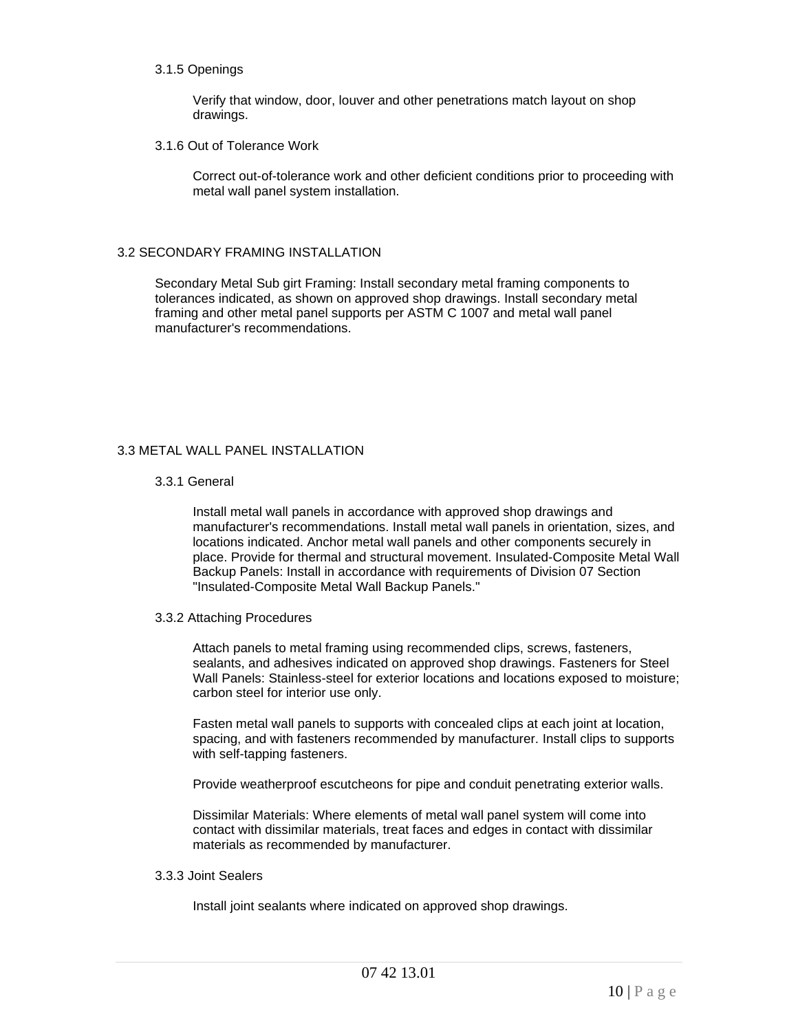#### 3.1.5 Openings

Verify that window, door, louver and other penetrations match layout on shop drawings.

3.1.6 Out of Tolerance Work

Correct out-of-tolerance work and other deficient conditions prior to proceeding with metal wall panel system installation.

# 3.2 SECONDARY FRAMING INSTALLATION

Secondary Metal Sub girt Framing: Install secondary metal framing components to tolerances indicated, as shown on approved shop drawings. Install secondary metal framing and other metal panel supports per ASTM C 1007 and metal wall panel manufacturer's recommendations.

# 3.3 METAL WALL PANEL INSTALLATION

# 3.3.1 General

Install metal wall panels in accordance with approved shop drawings and manufacturer's recommendations. Install metal wall panels in orientation, sizes, and locations indicated. Anchor metal wall panels and other components securely in place. Provide for thermal and structural movement. Insulated-Composite Metal Wall Backup Panels: Install in accordance with requirements of Division 07 Section "Insulated-Composite Metal Wall Backup Panels."

#### 3.3.2 Attaching Procedures

Attach panels to metal framing using recommended clips, screws, fasteners, sealants, and adhesives indicated on approved shop drawings. Fasteners for Steel Wall Panels: Stainless-steel for exterior locations and locations exposed to moisture; carbon steel for interior use only.

Fasten metal wall panels to supports with concealed clips at each joint at location, spacing, and with fasteners recommended by manufacturer. Install clips to supports with self-tapping fasteners.

Provide weatherproof escutcheons for pipe and conduit penetrating exterior walls.

Dissimilar Materials: Where elements of metal wall panel system will come into contact with dissimilar materials, treat faces and edges in contact with dissimilar materials as recommended by manufacturer.

# 3.3.3 Joint Sealers

Install joint sealants where indicated on approved shop drawings.